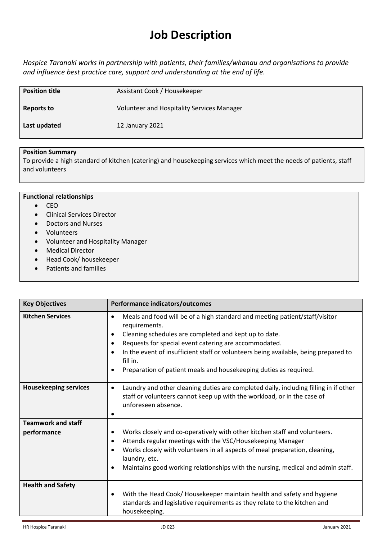# **Job Description**

*Hospice Taranaki works in partnership with patients, their families/whanau and organisations to provide and influence best practice care, support and understanding at the end of life.*

| <b>Position title</b> | Assistant Cook / Housekeeper                      |
|-----------------------|---------------------------------------------------|
| Reports to            | <b>Volunteer and Hospitality Services Manager</b> |
| Last updated          | 12 January 2021                                   |

### **Position Summary**

To provide a high standard of kitchen (catering) and housekeeping services which meet the needs of patients, staff and volunteers

|           | <b>Functional relationships</b>   |
|-----------|-----------------------------------|
|           | <b>CEO</b>                        |
| $\bullet$ | <b>Clinical Services Director</b> |
| $\bullet$ | Doctors and Nurses                |
| $\bullet$ | Volunteers                        |
| $\bullet$ | Volunteer and Hospitality Manager |
| $\bullet$ | <b>Medical Director</b>           |
| $\bullet$ | Head Cook/ housekeeper            |
| $\bullet$ | Patients and families             |
|           |                                   |

| <b>Key Objectives</b>                    | Performance indicators/outcomes                                                                                                                                                                                                                                                                                                                                                                            |
|------------------------------------------|------------------------------------------------------------------------------------------------------------------------------------------------------------------------------------------------------------------------------------------------------------------------------------------------------------------------------------------------------------------------------------------------------------|
| <b>Kitchen Services</b>                  | Meals and food will be of a high standard and meeting patient/staff/visitor<br>requirements.<br>Cleaning schedules are completed and kept up to date.<br>٠<br>Requests for special event catering are accommodated.<br>٠<br>In the event of insufficient staff or volunteers being available, being prepared to<br>٠<br>fill in.<br>Preparation of patient meals and housekeeping duties as required.<br>٠ |
| <b>Housekeeping services</b>             | Laundry and other cleaning duties are completed daily, including filling in if other<br>$\bullet$<br>staff or volunteers cannot keep up with the workload, or in the case of<br>unforeseen absence.                                                                                                                                                                                                        |
| <b>Teamwork and staff</b><br>performance | Works closely and co-operatively with other kitchen staff and volunteers.<br>٠<br>Attends regular meetings with the VSC/Housekeeping Manager<br>٠<br>Works closely with volunteers in all aspects of meal preparation, cleaning,<br>laundry, etc.<br>Maintains good working relationships with the nursing, medical and admin staff.<br>٠                                                                  |
| <b>Health and Safety</b>                 | With the Head Cook/Housekeeper maintain health and safety and hygiene<br>standards and legislative requirements as they relate to the kitchen and<br>housekeeping.                                                                                                                                                                                                                                         |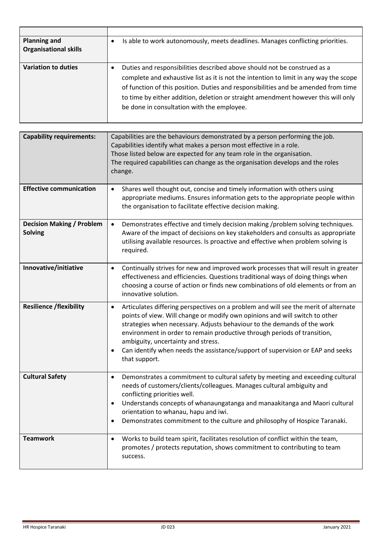| <b>Planning and</b><br><b>Organisational skills</b> | Is able to work autonomously, meets deadlines. Manages conflicting priorities.                                                                                                                                                                                                                                                                                                             |
|-----------------------------------------------------|--------------------------------------------------------------------------------------------------------------------------------------------------------------------------------------------------------------------------------------------------------------------------------------------------------------------------------------------------------------------------------------------|
| <b>Variation to duties</b>                          | Duties and responsibilities described above should not be construed as a<br>complete and exhaustive list as it is not the intention to limit in any way the scope<br>of function of this position. Duties and responsibilities and be amended from time<br>to time by either addition, deletion or straight amendment however this will only<br>be done in consultation with the employee. |

| <b>Capability requirements:</b>                    | Capabilities are the behaviours demonstrated by a person performing the job.<br>Capabilities identify what makes a person most effective in a role.<br>Those listed below are expected for any team role in the organisation.<br>The required capabilities can change as the organisation develops and the roles<br>change.                                                                                                                                                          |
|----------------------------------------------------|--------------------------------------------------------------------------------------------------------------------------------------------------------------------------------------------------------------------------------------------------------------------------------------------------------------------------------------------------------------------------------------------------------------------------------------------------------------------------------------|
| <b>Effective communication</b>                     | Shares well thought out, concise and timely information with others using<br>$\bullet$<br>appropriate mediums. Ensures information gets to the appropriate people within<br>the organisation to facilitate effective decision making.                                                                                                                                                                                                                                                |
| <b>Decision Making / Problem</b><br><b>Solving</b> | Demonstrates effective and timely decision making /problem solving techniques.<br>$\bullet$<br>Aware of the impact of decisions on key stakeholders and consults as appropriate<br>utilising available resources. Is proactive and effective when problem solving is<br>required.                                                                                                                                                                                                    |
| Innovative/initiative                              | Continually strives for new and improved work processes that will result in greater<br>٠<br>effectiveness and efficiencies. Questions traditional ways of doing things when<br>choosing a course of action or finds new combinations of old elements or from an<br>innovative solution.                                                                                                                                                                                              |
| <b>Resilience /flexibility</b>                     | Articulates differing perspectives on a problem and will see the merit of alternate<br>$\bullet$<br>points of view. Will change or modify own opinions and will switch to other<br>strategies when necessary. Adjusts behaviour to the demands of the work<br>environment in order to remain productive through periods of transition,<br>ambiguity, uncertainty and stress.<br>Can identify when needs the assistance/support of supervision or EAP and seeks<br>٠<br>that support. |
| <b>Cultural Safety</b>                             | Demonstrates a commitment to cultural safety by meeting and exceeding cultural<br>٠<br>needs of customers/clients/colleagues. Manages cultural ambiguity and<br>conflicting priorities well.<br>Understands concepts of whanaungatanga and manaakitanga and Maori cultural<br>٠<br>orientation to whanau, hapu and iwi.<br>Demonstrates commitment to the culture and philosophy of Hospice Taranaki.<br>٠                                                                           |
| <b>Teamwork</b>                                    | Works to build team spirit, facilitates resolution of conflict within the team,<br>٠<br>promotes / protects reputation, shows commitment to contributing to team<br>success.                                                                                                                                                                                                                                                                                                         |